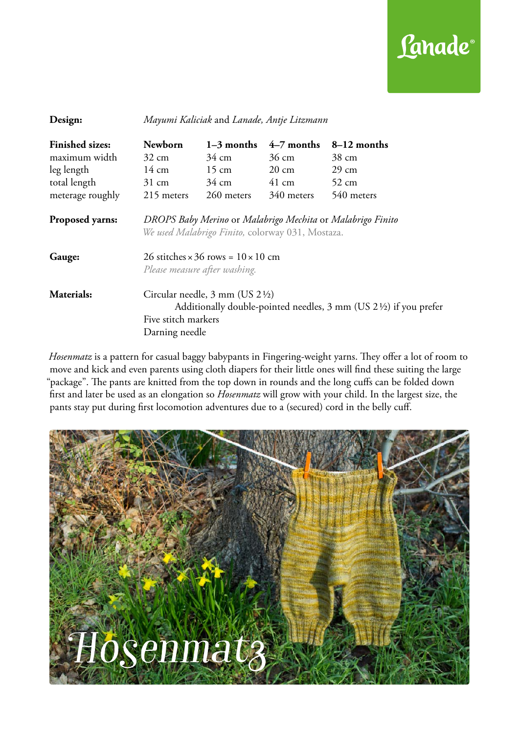

| Design:                          | Mayumi Kaliciak and Lanade, Antje Litzmann                                                                                                                                                          |              |                 |                 |  |
|----------------------------------|-----------------------------------------------------------------------------------------------------------------------------------------------------------------------------------------------------|--------------|-----------------|-----------------|--|
| <b>Finished sizes:</b>           | <b>Newborn</b>                                                                                                                                                                                      | $1-3$ months | $4-7$ months    | 8–12 months     |  |
| maximum width                    | $32 \text{ cm}$                                                                                                                                                                                     | 34 cm        | 36 cm           | 38 cm           |  |
| leg length                       | $14 \text{ cm}$ $15 \text{ cm}$                                                                                                                                                                     |              | $20 \text{ cm}$ | $29 \text{ cm}$ |  |
| total length                     | $31 \text{ cm}$                                                                                                                                                                                     | 34 cm        | $41 \text{ cm}$ | $52 \text{ cm}$ |  |
| meterage roughly                 | 215 meters                                                                                                                                                                                          | 260 meters   | 340 meters      | 540 meters      |  |
| <b>Proposed yarns:</b><br>Gauge: | DROPS Baby Merino or Malabrigo Mechita or Malabrigo Finito<br>We used Malabrigo Finito, colorway 031, Mostaza.<br>26 stitches $\times$ 36 rows = $10 \times 10$ cm<br>Please measure after washing. |              |                 |                 |  |
| Materials:                       | Circular needle, $3 \text{ mm}$ (US $2\frac{1}{2}$ )<br>Additionally double-pointed needles, 3 mm (US 21/2) if you prefer<br>Five stitch markers<br>Darning needle                                  |              |                 |                 |  |

*Hosenmatz* is a pattern for casual baggy babypants in Fingering-weight yarns. They offer a lot of room to move and kick and even parents using cloth diapers for their little ones will find these suiting the large "package". The pants are knitted from the top down in rounds and the long cuffs can be folded down first and later be used as an elongation so *Hosenmatz* will grow with your child. In the largest size, the pants stay put during first locomotion adventures due to a (secured) cord in the belly cuff.

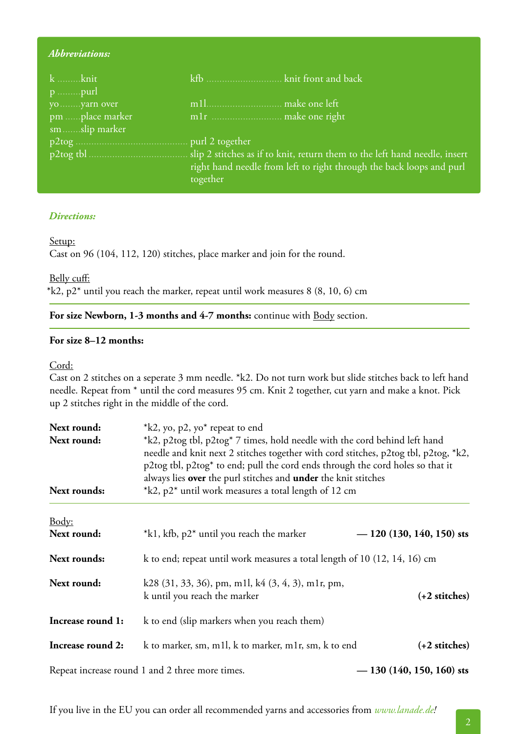## *Abbreviations:*

| k knit          |                                                                      |
|-----------------|----------------------------------------------------------------------|
|                 |                                                                      |
| yo yarn over    |                                                                      |
| pm place marker |                                                                      |
| smslip marker   |                                                                      |
|                 |                                                                      |
|                 |                                                                      |
|                 | right hand needle from left to right through the back loops and purl |
|                 | together                                                             |

#### *Directions:*

#### Setup:

Cast on 96 (104, 112, 120) stitches, place marker and join for the round.

# Belly cuff:

 $*k2$ , p2 $*$  until you reach the marker, repeat until work measures 8 (8, 10, 6) cm

#### For size Newborn, 1-3 months and 4-7 months: continue with **Body** section.

## **For size 8–12 months:**

### Cord:

Cast on 2 stitches on a seperate 3 mm needle. \*k2. Do not turn work but slide stitches back to left hand needle. Repeat from \* until the cord measures 95 cm. Knit 2 together, cut yarn and make a knot. Pick up 2 stitches right in the middle of the cord.

| Next round:<br>Next round:<br>Next rounds: | $*k2$ , yo, p2, yo <sup>*</sup> repeat to end<br>*k2, p2tog tbl, p2tog* 7 times, hold needle with the cord behind left hand<br>needle and knit next 2 stitches together with cord stitches, p2tog tbl, p2tog, *k2,<br>p2tog tbl, p2tog* to end; pull the cord ends through the cord holes so that it<br>always lies over the purl stitches and under the knit stitches<br>*k2, p2* until work measures a total length of 12 cm |                           |  |  |
|--------------------------------------------|--------------------------------------------------------------------------------------------------------------------------------------------------------------------------------------------------------------------------------------------------------------------------------------------------------------------------------------------------------------------------------------------------------------------------------|---------------------------|--|--|
| Body:                                      |                                                                                                                                                                                                                                                                                                                                                                                                                                |                           |  |  |
| Next round:                                | *k1, kfb, p2* until you reach the marker                                                                                                                                                                                                                                                                                                                                                                                       | $-120(130, 140, 150)$ sts |  |  |
| Next rounds:                               | k to end; repeat until work measures a total length of 10 (12, 14, 16) cm                                                                                                                                                                                                                                                                                                                                                      |                           |  |  |
| Next round:                                | k28 (31, 33, 36), pm, m1l, k4 (3, 4, 3), m1r, pm,<br>k until you reach the marker                                                                                                                                                                                                                                                                                                                                              | $(+2$ stitches)           |  |  |
| Increase round 1:                          | k to end (slip markers when you reach them)                                                                                                                                                                                                                                                                                                                                                                                    |                           |  |  |
| Increase round 2:                          | k to marker, sm, m1l, k to marker, m1r, sm, k to end                                                                                                                                                                                                                                                                                                                                                                           | $(+2 \text{ stitches})$   |  |  |
|                                            | Repeat increase round 1 and 2 three more times.                                                                                                                                                                                                                                                                                                                                                                                | $-130(140, 150, 160)$ sts |  |  |

If you live in the EU you can order all recommended yarns and accessories from *www.lanade.de!*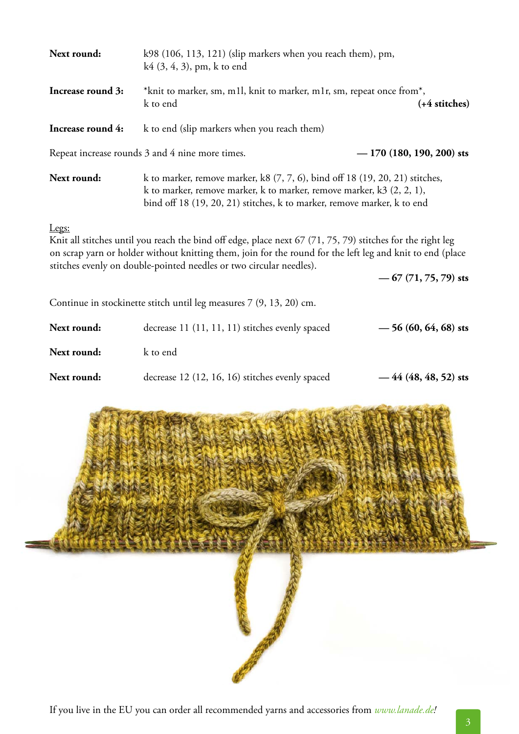| Next round:       | k98 (106, 113, 121) (slip markers when you reach them), pm,<br>$k4$ (3, 4, 3), pm, k to end                                                                                                                                                                                                    |                           |  |
|-------------------|------------------------------------------------------------------------------------------------------------------------------------------------------------------------------------------------------------------------------------------------------------------------------------------------|---------------------------|--|
| Increase round 3: | *knit to marker, sm, m1l, knit to marker, m1r, sm, repeat once from*,<br>k to end<br>(+4 stitches)                                                                                                                                                                                             |                           |  |
| Increase round 4: | k to end (slip markers when you reach them)                                                                                                                                                                                                                                                    |                           |  |
|                   | Repeat increase rounds 3 and 4 nine more times.                                                                                                                                                                                                                                                | $-170(180, 190, 200)$ sts |  |
| Next round:       | k to marker, remove marker, $k8$ (7, 7, 6), bind off 18 (19, 20, 21) stitches,<br>k to marker, remove marker, k to marker, remove marker, $k3$ (2, 2, 1),<br>bind off 18 (19, 20, 21) stitches, k to marker, remove marker, k to end                                                           |                           |  |
| Legs:             | Knit all stitches until you reach the bind off edge, place next 67 (71, 75, 79) stitches for the right leg<br>on scrap yarn or holder without knitting them, join for the round for the left leg and knit to end (place<br>stitches evenly on double-pointed needles or two circular needles). |                           |  |
|                   |                                                                                                                                                                                                                                                                                                | $-67(71, 75, 79)$ sts     |  |
|                   | Continue in stockinette stitch until leg measures 7 (9, 13, 20) cm.                                                                                                                                                                                                                            |                           |  |
| Next round:       | decrease 11 (11, 11, 11) stitches evenly spaced                                                                                                                                                                                                                                                | $-56(60, 64, 68)$ sts     |  |
| Next round:       | k to end                                                                                                                                                                                                                                                                                       |                           |  |
| Next round:       | decrease 12 (12, 16, 16) stitches evenly spaced                                                                                                                                                                                                                                                | $-44(48, 48, 52)$ sts     |  |
|                   |                                                                                                                                                                                                                                                                                                |                           |  |
|                   |                                                                                                                                                                                                                                                                                                |                           |  |